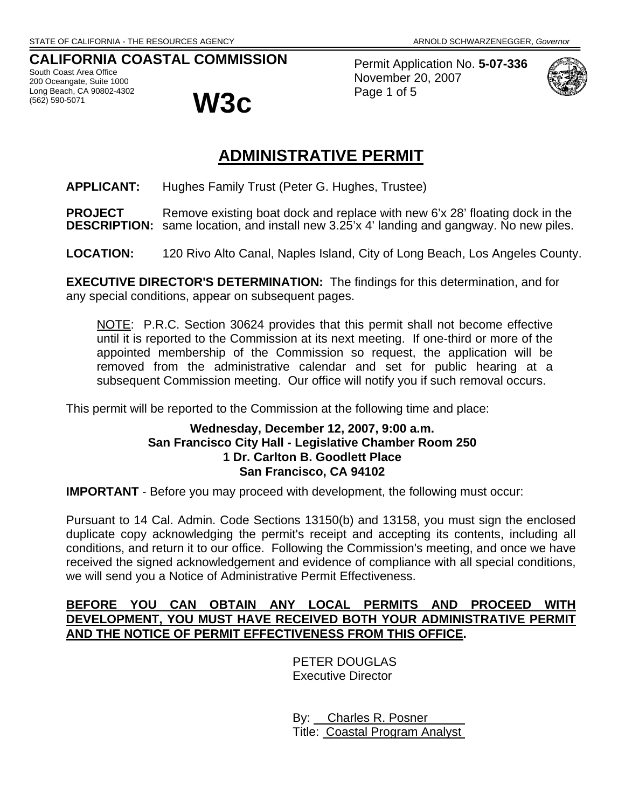# **CALIFORNIA COASTAL COMMISSION**

South Coast Area Office 200 Oceangate, Suite 1000 Long Beach, CA 90802-4302<br>(562) 590-5071

(562) 590-5071 **W3c**

Permit Application No. **5-07-336** November 20, 2007 Page 1 of 5



# **ADMINISTRATIVE PERMIT**

**APPLICANT:** Hughes Family Trust (Peter G. Hughes, Trustee)

**PROJECT** Remove existing boat dock and replace with new 6'x 28' floating dock in the **DESCRIPTION:** same location, and install new 3.25'x 4' landing and gangway. No new piles.

**LOCATION:** 120 Rivo Alto Canal, Naples Island, City of Long Beach, Los Angeles County.

**EXECUTIVE DIRECTOR'S DETERMINATION:** The findings for this determination, and for any special conditions, appear on subsequent pages.

NOTE: P.R.C. Section 30624 provides that this permit shall not become effective until it is reported to the Commission at its next meeting. If one-third or more of the appointed membership of the Commission so request, the application will be removed from the administrative calendar and set for public hearing at a subsequent Commission meeting. Our office will notify you if such removal occurs.

This permit will be reported to the Commission at the following time and place:

# **Wednesday, December 12, 2007, 9:00 a.m. San Francisco City Hall - Legislative Chamber Room 250 1 Dr. Carlton B. Goodlett Place San Francisco, CA 94102**

**IMPORTANT** - Before you may proceed with development, the following must occur:

Pursuant to 14 Cal. Admin. Code Sections 13150(b) and 13158, you must sign the enclosed duplicate copy acknowledging the permit's receipt and accepting its contents, including all conditions, and return it to our office. Following the Commission's meeting, and once we have received the signed acknowledgement and evidence of compliance with all special conditions, we will send you a Notice of Administrative Permit Effectiveness.

# **BEFORE YOU CAN OBTAIN ANY LOCAL PERMITS AND PROCEED WITH DEVELOPMENT, YOU MUST HAVE RECEIVED BOTH YOUR ADMINISTRATIVE PERMIT AND THE NOTICE OF PERMIT EFFECTIVENESS FROM THIS OFFICE.**

 PETER DOUGLAS Executive Director

 By: Charles R. Posner Title: Coastal Program Analyst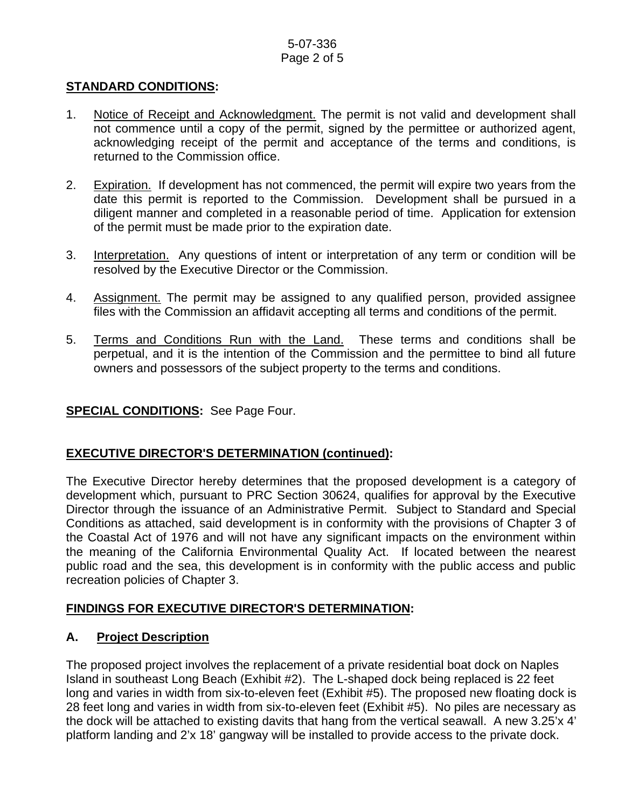# 5-07-336 Page 2 of 5

# **STANDARD CONDITIONS:**

- 1. Notice of Receipt and Acknowledgment. The permit is not valid and development shall not commence until a copy of the permit, signed by the permittee or authorized agent, acknowledging receipt of the permit and acceptance of the terms and conditions, is returned to the Commission office.
- 2. Expiration. If development has not commenced, the permit will expire two years from the date this permit is reported to the Commission. Development shall be pursued in a diligent manner and completed in a reasonable period of time. Application for extension of the permit must be made prior to the expiration date.
- 3. Interpretation. Any questions of intent or interpretation of any term or condition will be resolved by the Executive Director or the Commission.
- 4. Assignment. The permit may be assigned to any qualified person, provided assignee files with the Commission an affidavit accepting all terms and conditions of the permit.
- 5. Terms and Conditions Run with the Land. These terms and conditions shall be perpetual, and it is the intention of the Commission and the permittee to bind all future owners and possessors of the subject property to the terms and conditions.

# **SPECIAL CONDITIONS:** See Page Four.

# **EXECUTIVE DIRECTOR'S DETERMINATION (continued):**

The Executive Director hereby determines that the proposed development is a category of development which, pursuant to PRC Section 30624, qualifies for approval by the Executive Director through the issuance of an Administrative Permit. Subject to Standard and Special Conditions as attached, said development is in conformity with the provisions of Chapter 3 of the Coastal Act of 1976 and will not have any significant impacts on the environment within the meaning of the California Environmental Quality Act. If located between the nearest public road and the sea, this development is in conformity with the public access and public recreation policies of Chapter 3.

# **FINDINGS FOR EXECUTIVE DIRECTOR'S DETERMINATION:**

# **A. Project Description**

The proposed project involves the replacement of a private residential boat dock on Naples Island in southeast Long Beach (Exhibit #2). The L-shaped dock being replaced is 22 feet long and varies in width from six-to-eleven feet (Exhibit #5). The proposed new floating dock is 28 feet long and varies in width from six-to-eleven feet (Exhibit #5). No piles are necessary as the dock will be attached to existing davits that hang from the vertical seawall. A new 3.25'x 4' platform landing and 2'x 18' gangway will be installed to provide access to the private dock.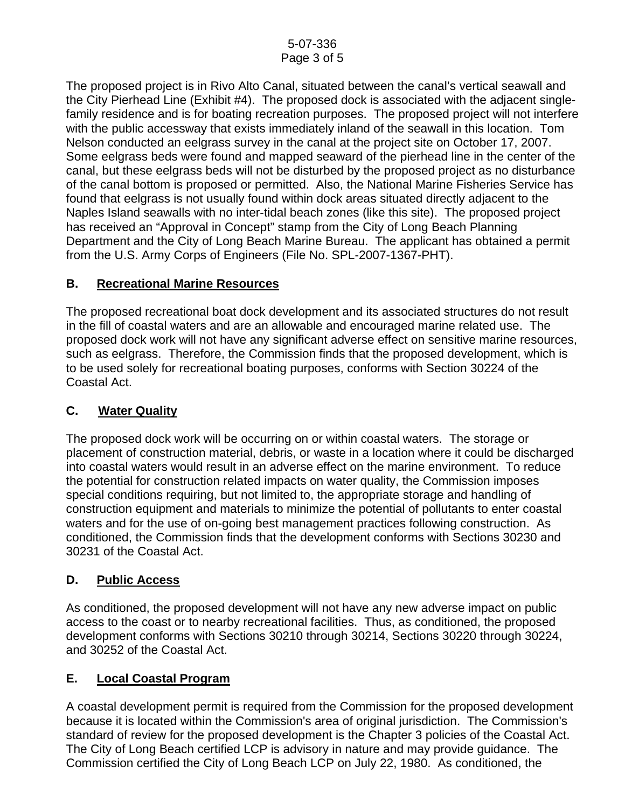The proposed project is in Rivo Alto Canal, situated between the canal's vertical seawall and the City Pierhead Line (Exhibit #4). The proposed dock is associated with the adjacent singlefamily residence and is for boating recreation purposes. The proposed project will not interfere with the public accessway that exists immediately inland of the seawall in this location. Tom Nelson conducted an eelgrass survey in the canal at the project site on October 17, 2007. Some eelgrass beds were found and mapped seaward of the pierhead line in the center of the canal, but these eelgrass beds will not be disturbed by the proposed project as no disturbance of the canal bottom is proposed or permitted. Also, the National Marine Fisheries Service has found that eelgrass is not usually found within dock areas situated directly adjacent to the Naples Island seawalls with no inter-tidal beach zones (like this site). The proposed project has received an "Approval in Concept" stamp from the City of Long Beach Planning Department and the City of Long Beach Marine Bureau. The applicant has obtained a permit from the U.S. Army Corps of Engineers (File No. SPL-2007-1367-PHT).

# **B. Recreational Marine Resources**

The proposed recreational boat dock development and its associated structures do not result in the fill of coastal waters and are an allowable and encouraged marine related use. The proposed dock work will not have any significant adverse effect on sensitive marine resources, such as eelgrass. Therefore, the Commission finds that the proposed development, which is to be used solely for recreational boating purposes, conforms with Section 30224 of the Coastal Act.

# **C. Water Quality**

The proposed dock work will be occurring on or within coastal waters. The storage or placement of construction material, debris, or waste in a location where it could be discharged into coastal waters would result in an adverse effect on the marine environment. To reduce the potential for construction related impacts on water quality, the Commission imposes special conditions requiring, but not limited to, the appropriate storage and handling of construction equipment and materials to minimize the potential of pollutants to enter coastal waters and for the use of on-going best management practices following construction. As conditioned, the Commission finds that the development conforms with Sections 30230 and 30231 of the Coastal Act.

# **D. Public Access**

As conditioned, the proposed development will not have any new adverse impact on public access to the coast or to nearby recreational facilities. Thus, as conditioned, the proposed development conforms with Sections 30210 through 30214, Sections 30220 through 30224, and 30252 of the Coastal Act.

# **E. Local Coastal Program**

A coastal development permit is required from the Commission for the proposed development because it is located within the Commission's area of original jurisdiction. The Commission's standard of review for the proposed development is the Chapter 3 policies of the Coastal Act. The City of Long Beach certified LCP is advisory in nature and may provide guidance. The Commission certified the City of Long Beach LCP on July 22, 1980. As conditioned, the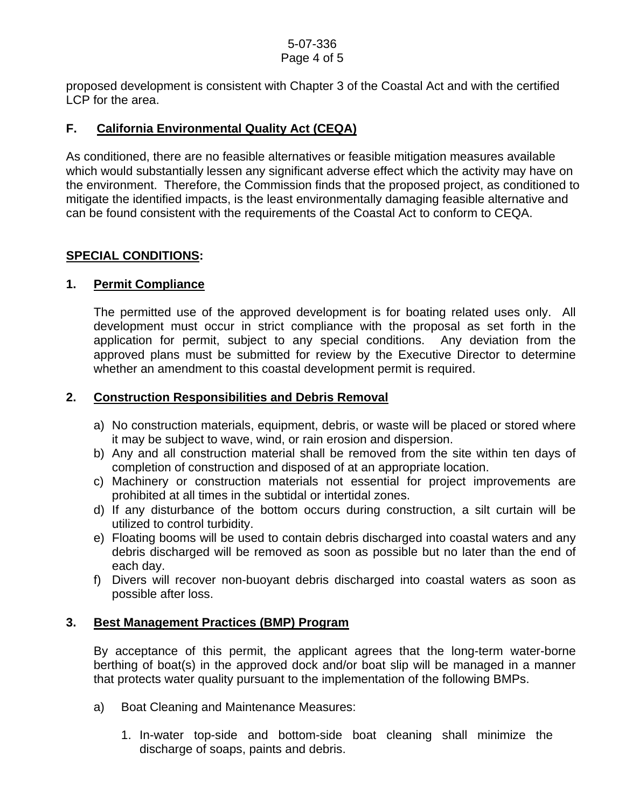proposed development is consistent with Chapter 3 of the Coastal Act and with the certified LCP for the area.

# **F. California Environmental Quality Act (CEQA)**

As conditioned, there are no feasible alternatives or feasible mitigation measures available which would substantially lessen any significant adverse effect which the activity may have on the environment. Therefore, the Commission finds that the proposed project, as conditioned to mitigate the identified impacts, is the least environmentally damaging feasible alternative and can be found consistent with the requirements of the Coastal Act to conform to CEQA.

# **SPECIAL CONDITIONS:**

#### **1. Permit Compliance**

 The permitted use of the approved development is for boating related uses only. All development must occur in strict compliance with the proposal as set forth in the application for permit, subject to any special conditions. Any deviation from the approved plans must be submitted for review by the Executive Director to determine whether an amendment to this coastal development permit is required.

#### **2. Construction Responsibilities and Debris Removal**

- a) No construction materials, equipment, debris, or waste will be placed or stored where it may be subject to wave, wind, or rain erosion and dispersion.
- b) Any and all construction material shall be removed from the site within ten days of completion of construction and disposed of at an appropriate location.
- c) Machinery or construction materials not essential for project improvements are prohibited at all times in the subtidal or intertidal zones.
- d) If any disturbance of the bottom occurs during construction, a silt curtain will be utilized to control turbidity.
- e) Floating booms will be used to contain debris discharged into coastal waters and any debris discharged will be removed as soon as possible but no later than the end of each day.
- f) Divers will recover non-buoyant debris discharged into coastal waters as soon as possible after loss.

# **3. Best Management Practices (BMP) Program**

By acceptance of this permit, the applicant agrees that the long-term water-borne berthing of boat(s) in the approved dock and/or boat slip will be managed in a manner that protects water quality pursuant to the implementation of the following BMPs.

- a) Boat Cleaning and Maintenance Measures:
	- 1. In-water top-side and bottom-side boat cleaning shall minimize the discharge of soaps, paints and debris.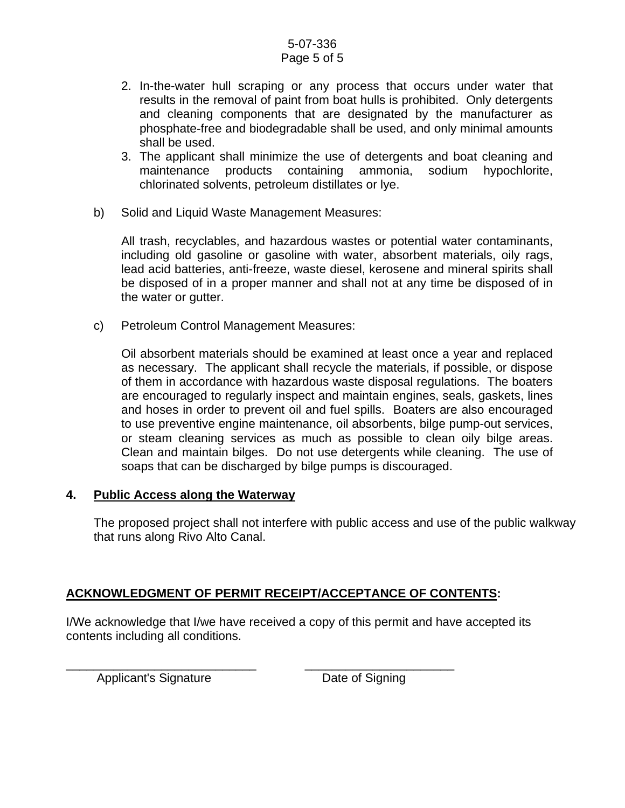#### 5-07-336 Page 5 of 5

- 2. In-the-water hull scraping or any process that occurs under water that results in the removal of paint from boat hulls is prohibited. Only detergents and cleaning components that are designated by the manufacturer as phosphate-free and biodegradable shall be used, and only minimal amounts shall be used.
- 3. The applicant shall minimize the use of detergents and boat cleaning and maintenance products containing ammonia, sodium hypochlorite, chlorinated solvents, petroleum distillates or lye.
- b) Solid and Liquid Waste Management Measures:

All trash, recyclables, and hazardous wastes or potential water contaminants, including old gasoline or gasoline with water, absorbent materials, oily rags, lead acid batteries, anti-freeze, waste diesel, kerosene and mineral spirits shall be disposed of in a proper manner and shall not at any time be disposed of in the water or gutter.

c) Petroleum Control Management Measures:

Oil absorbent materials should be examined at least once a year and replaced as necessary. The applicant shall recycle the materials, if possible, or dispose of them in accordance with hazardous waste disposal regulations. The boaters are encouraged to regularly inspect and maintain engines, seals, gaskets, lines and hoses in order to prevent oil and fuel spills. Boaters are also encouraged to use preventive engine maintenance, oil absorbents, bilge pump-out services, or steam cleaning services as much as possible to clean oily bilge areas. Clean and maintain bilges. Do not use detergents while cleaning. The use of soaps that can be discharged by bilge pumps is discouraged.

# **4. Public Access along the Waterway**

The proposed project shall not interfere with public access and use of the public walkway that runs along Rivo Alto Canal.

# **ACKNOWLEDGMENT OF PERMIT RECEIPT/ACCEPTANCE OF CONTENTS:**

I/We acknowledge that I/we have received a copy of this permit and have accepted its contents including all conditions.

Applicant's Signature **Date of Signing** 

\_\_\_\_\_\_\_\_\_\_\_\_\_\_\_\_\_\_\_\_\_\_\_\_\_\_\_\_ \_\_\_\_\_\_\_\_\_\_\_\_\_\_\_\_\_\_\_\_\_\_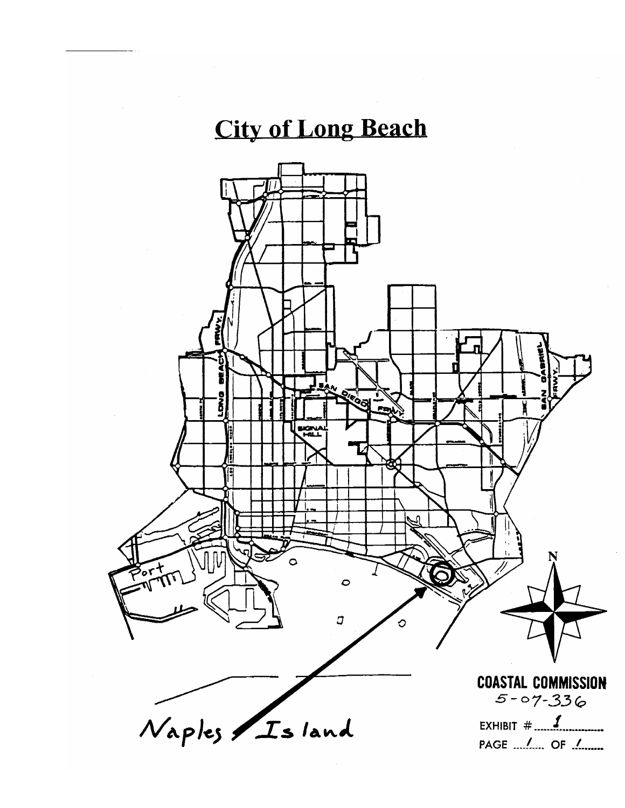# **City of Long Beach**

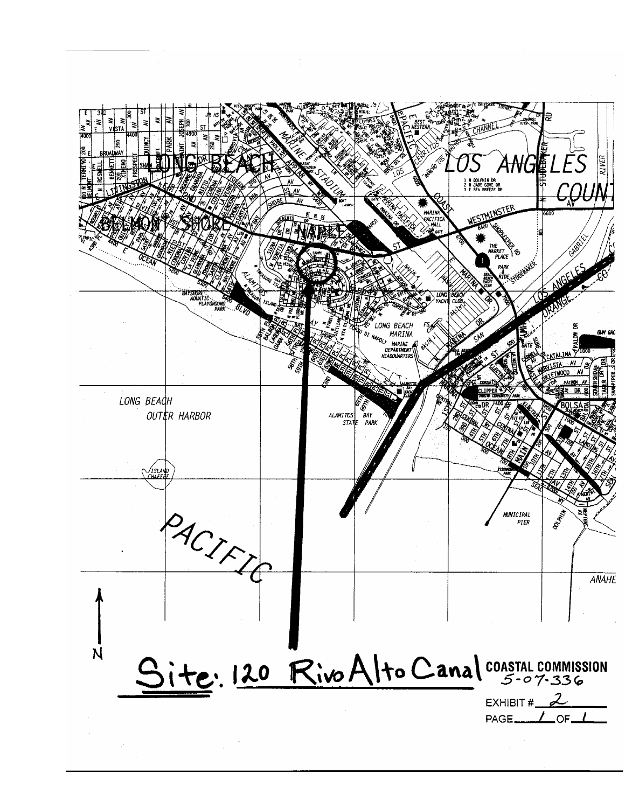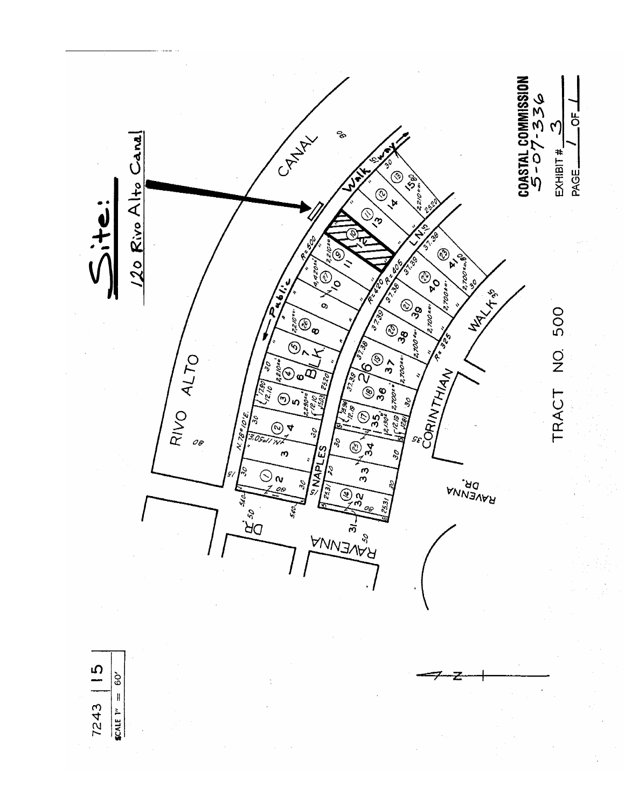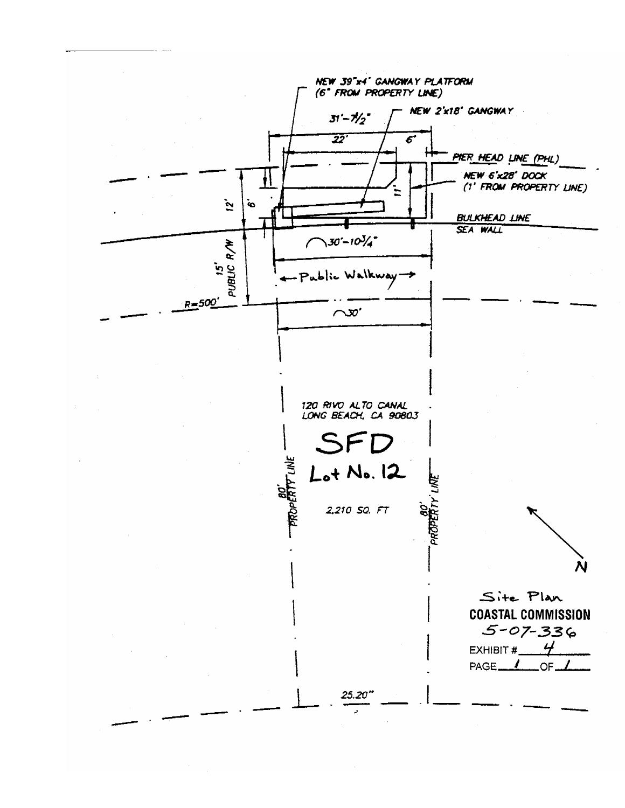